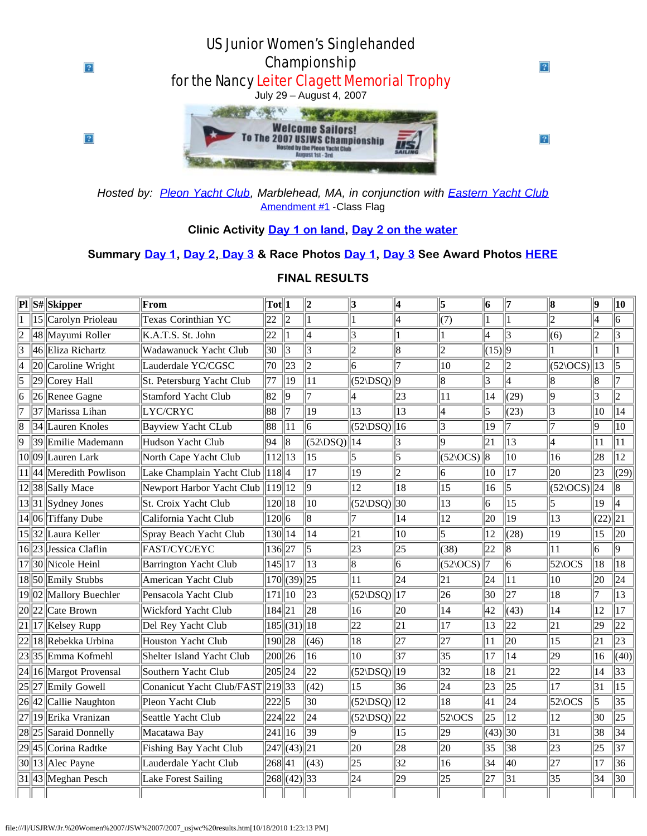

*Hosted by: [Pleon Yacht Club](http://www.pleon.org/), Marblehead, MA, in conjunction with [Eastern Yacht Club](http://www.easternyc.org/)* [Amendment #1](http://www.eycrc.org/2007_usjwc/Amendments_1.doc) - Class Flag

## **Clinic Activity [Day 1 on land](http://www.eycrc.org/2007_usjwc/clinic_activity.htm), [Day 2 on the water](http://www.eycrc.org/2007_usjwc/clinic_water.htm)**

## **Summary [Day 1,](http://www.eycrc.org/2007_usjwc/usjwc_sum_d1.htm) [Day 2](http://www.eycrc.org/2007_usjwc/usjwc_sum_d2.htm)[, Day 3](http://www.eycrc.org/2007_usjwc/usjwc_sum_d3.htm) & Race Photos [Day 1,](http://www.eycrc.org/2007_usjwc/usjwc_photo_d1.htm) [Day 3](http://www.eycrc.org/2007_usjwc/usjwc_photo_d3.htm) See Award Photos [HERE](http://www.eycrc.org/2007_usjwc/usjwc_photo_awards.htm)**

|   | $\overline{\mathbf{Pl}}\ \mathbf{S}\# \ \mathbf{Skipper}\ $ | From                               | $\text{Tot}$   1 |                          | $\overline{\mathbf{2}}$ | 3                        | 4               | 5                    | 6            | 17             | 18                            | $\vert \mathbf{Q} \vert$ | 10             |
|---|-------------------------------------------------------------|------------------------------------|------------------|--------------------------|-------------------------|--------------------------|-----------------|----------------------|--------------|----------------|-------------------------------|--------------------------|----------------|
|   | 15 Carolyn Prioleau                                         | Texas Corinthian YC                | 22               | $\parallel$ <sub>2</sub> |                         | 1                        | 4               | (7)                  |              | $\mathbf{1}$   | $\overline{c}$                | 4                        | 6              |
|   | 48 Mayumi Roller                                            | K.A.T.S. St. John                  | 22               | 1                        | 4                       | 3                        |                 |                      | 4            | 3              | (6)                           | 12.                      | 3              |
| 3 | 46 Eliza Richartz                                           | Wadawanuck Yacht Club              | 30               | $\parallel$ 3            | $\vert 3 \vert$         | $ 2\rangle$              | 8               | 2                    | $(15)$  9    |                |                               |                          |                |
| 4 | $ 20 $ Caroline Wright                                      | Lauderdale YC/CGSC                 | 70               | $\parallel$ 23           | $\overline{2}$          | 6                        |                 | 10                   | 2            | 2              | $(52\angle OCS)\overline{13}$ |                          | 5              |
| 5 | $ 29 $ Corey Hall                                           | St. Petersburg Yacht Club          | 77               | $ 19\rangle$             | 11                      | $(52\angle DSO)$   9     |                 | 8                    | 3            | 4              | 8                             |                          |                |
| 6 | $  26  $ Renee Gagne                                        | Stamford Yacht Club                | 82               | l9                       | $\overline{7}$          | 4                        | 23              | 11                   | 14           | (29)           | 9                             | 3                        | $\overline{2}$ |
|   | 37 Marissa Lihan                                            | LYC/CRYC                           | 88               | 17                       | 19                      | 13                       | 13              | 4                    | 5            | (23)           | 3                             | 10                       | 14             |
| 8 | 34 Lauren Knoles                                            | <b>Bayview Yacht CLub</b>          | 88               | 11                       | 6                       | $(52\Delta)$ [16]        |                 | 3                    | 19           | 7              | 17                            | 19                       | 10             |
| 9 | 39 Emilie Mademann                                          | Hudson Yacht Club                  | 94               | $\parallel$ 8            | $(52\Delta)$ [14]       |                          |                 | ١q                   | 21           | 13             | 14                            | 11                       | 11             |
|   | 10 09 Lauren Lark                                           | North Cape Yacht Club              | $112$   13       |                          | 15                      | 5                        | 5               | $(52\angle OCS)\ 8$  |              | 10             | 16                            | 28                       | 12             |
|   | $11$   44  Meredith Powlison                                | Lake Champlain Yacht Club   118  4 |                  |                          | 17                      | 19                       | 12              | 16                   | 10           | 17             | 20                            | 23                       | (29)           |
|   | $12$   38  Sally Mace                                       | Newport Harbor Yacht Club          | $\ 119\ 12$      |                          | 9                       | 12                       | 18              | 15                   | 16           | 5              | $(52\angle OCS)\ 24$          |                          | 8              |
|   | $13  31  $ Sydney Jones                                     | St. Croix Yacht Club               | $120$   18       |                          | 10                      | $(52\Delta)$ 30          |                 | 13                   | 6            | 15             | 5                             | 19                       | 4              |
|   | 14 06 Tiffany Dube                                          | California Yacht Club              | 120 6            |                          | $\overline{8}$          |                          | 14              | $ 12\rangle$         | 20           | 19             | 13                            | $(22)$  21               |                |
|   | 1532 Laura Keller                                           | Spray Beach Yacht Club             | $130$   14       |                          | $\overline{14}$         | 21                       | 10              | 5                    | 12           | (28)           | 19                            | 15                       | 20             |
|   | $16  23  $ Jessica Claflin                                  | FAST/CYC/EYC                       | 136 27           |                          | 5                       | 23                       | 25              | (38)                 | 22           | 8              | 11                            | 16                       | 9              |
|   | 17  30  Nicole Heinl                                        | <b>Barrington Yacht Club</b>       | $145$   17       |                          | 13                      | 8                        | 16              | $(52\angle OCS)$   7 |              | $\overline{6}$ | $52\,0cs$                     | 18                       | 18             |
|   | 18  50  Emily Stubbs                                        | American Yacht Club                |                  | $170$ (39)(25            |                         | 11                       | $\overline{24}$ | 21                   | 24           | 11             | 10                            | 20                       | 24             |
|   | $19  02  $ Mallory Buechler                                 | Pensacola Yacht Club               | $171$   10       |                          | 23                      | $(52\angle$ DSQ)         | 17              | 26                   | 30           | 27             | 18                            | 17                       | 13             |
|   | $20  22  $ Cate Brown                                       | Wickford Yacht Club                | 184 21           |                          | 28                      | 16                       | 20              | 14                   | 42           | (43)           | 14                            | 12                       | 17             |
|   | 21  17  Kelsey Rupp                                         | Del Rey Yacht Club                 |                  | $185$ (31)(18)           |                         | 22                       | 21              | 17                   | 13           | 22             | 21                            | 29                       | 22             |
|   | 22  18  Rebekka Urbina                                      | Houston Yacht Club                 | 190 28           |                          | (46)                    | 18                       | 27              | 27                   | 11           | 20             | 15                            | 21                       | 23             |
|   | 23  35  Emma Kofmehl                                        | Shelter Island Yacht Club          | 200 26           |                          | 16                      | 10                       | 37              | 35                   | 17           | 14             | 29                            | 16                       | (40)           |
|   | 24  16  Margot Provensal                                    | Southern Yacht Club                | 205  24          |                          | 22                      | $(52\Delta)$   19        |                 | 32                   | 18           | 21             | 22                            | 14                       | 33             |
|   | 25  27  Emily Gowell                                        | Conanicut Yacht Club/FAST 219 33   |                  |                          | (42)                    | 15                       | 36              | 24                   | 23           | 25             | 17                            | 31                       | 15             |
|   | 26  42  Callie Naughton                                     | Pleon Yacht Club                   | 222  5           |                          | 30                      | (52 DSQ)                 | 12              | 18                   | 41           | 24             | 52\OCS                        | 5                        | 35             |
|   | 27  19  Erika Vranizan                                      | Seattle Yacht Club                 | 224 22           |                          | 24                      | $(52\vert DSQ) \vert 22$ |                 | $52\,0cs$            | 25           | 12             | 12                            | 30                       | 25             |
|   | 28  25  Saraid Donnelly                                     | Macatawa Bay                       | 241   16         |                          | 39                      | 9                        | 15              | 29                   | $\ (43)\ 30$ |                | 31                            | 38                       | 34             |
|   | 29  45  Corina Radtke                                       | Fishing Bay Yacht Club             |                  | $\ 247\ $ (43) $\ 21$    |                         | 20                       | 28              | 20                   | 35           | 38             | 23                            | 25                       | 37             |
|   | 30  13  Alec Payne                                          | Lauderdale Yacht Club              | 268 41           |                          | (43)                    | 25                       | 32              | 16                   | 34           | 40             | 27                            | 17                       | 36             |
|   | 31  43  Meghan Pesch                                        | <b>Lake Forest Sailing</b>         |                  | 268  (42)                | $ 33\rangle$            | 24                       | 29              | 25                   | 27           | 31             | 35                            | 34                       | 30             |
|   |                                                             |                                    |                  |                          |                         |                          |                 |                      |              |                |                               |                          |                |

## **FINAL RESULTS**